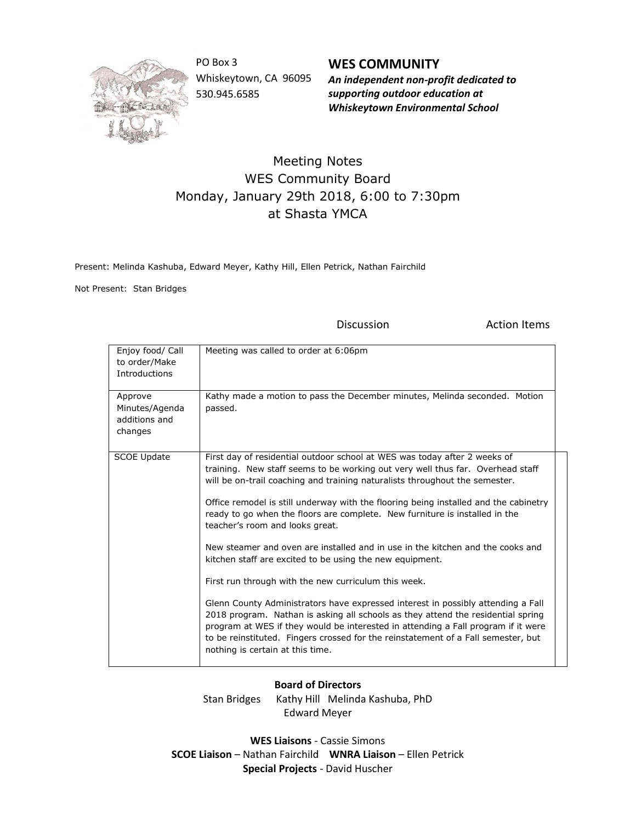

PO Box 3 Whiskeytown, CA 96095 530.945.6585

**WES COMMUNITY** *An independent non-profit dedicated to supporting outdoor education at Whiskeytown Environmental School*

## Meeting Notes WES Community Board Monday, January 29th 2018, 6:00 to 7:30pm at Shasta YMCA

Present: Melinda Kashuba, Edward Meyer, Kathy Hill, Ellen Petrick, Nathan Fairchild

Not Present: Stan Bridges

Discussion **Action** Items

| Enjoy food/ Call<br>to order/Make<br>Introductions    | Meeting was called to order at 6:06pm                                                                                                                                                                                                                                                                                                                                                                                                                                                                                                                                                                                                                                                                                                                                                                                                                                                                                                                                                                                                            |
|-------------------------------------------------------|--------------------------------------------------------------------------------------------------------------------------------------------------------------------------------------------------------------------------------------------------------------------------------------------------------------------------------------------------------------------------------------------------------------------------------------------------------------------------------------------------------------------------------------------------------------------------------------------------------------------------------------------------------------------------------------------------------------------------------------------------------------------------------------------------------------------------------------------------------------------------------------------------------------------------------------------------------------------------------------------------------------------------------------------------|
| Approve<br>Minutes/Agenda<br>additions and<br>changes | Kathy made a motion to pass the December minutes, Melinda seconded. Motion<br>passed.                                                                                                                                                                                                                                                                                                                                                                                                                                                                                                                                                                                                                                                                                                                                                                                                                                                                                                                                                            |
| <b>SCOE Update</b>                                    | First day of residential outdoor school at WES was today after 2 weeks of<br>training. New staff seems to be working out very well thus far. Overhead staff<br>will be on-trail coaching and training naturalists throughout the semester.<br>Office remodel is still underway with the flooring being installed and the cabinetry<br>ready to go when the floors are complete. New furniture is installed in the<br>teacher's room and looks great.<br>New steamer and oven are installed and in use in the kitchen and the cooks and<br>kitchen staff are excited to be using the new equipment.<br>First run through with the new curriculum this week.<br>Glenn County Administrators have expressed interest in possibly attending a Fall<br>2018 program. Nathan is asking all schools as they attend the residential spring<br>program at WES if they would be interested in attending a Fall program if it were<br>to be reinstituted. Fingers crossed for the reinstatement of a Fall semester, but<br>nothing is certain at this time. |

## **Board of Directors**

Stan Bridges Kathy Hill Melinda Kashuba, PhD Edward Meyer

**WES Liaisons** - Cassie Simons **SCOE Liaison** – Nathan Fairchild **WNRA Liaison** – Ellen Petrick **Special Projects** - David Huscher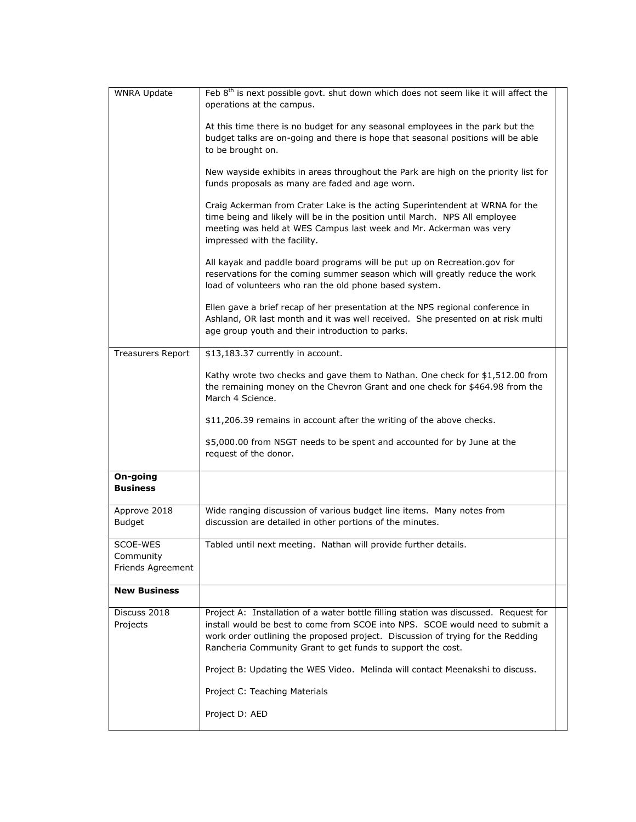| <b>WNRA Update</b>                         | Feb 8 <sup>th</sup> is next possible govt. shut down which does not seem like it will affect the                                                                                                                                                                                                                        |  |
|--------------------------------------------|-------------------------------------------------------------------------------------------------------------------------------------------------------------------------------------------------------------------------------------------------------------------------------------------------------------------------|--|
|                                            | operations at the campus.                                                                                                                                                                                                                                                                                               |  |
|                                            | At this time there is no budget for any seasonal employees in the park but the<br>budget talks are on-going and there is hope that seasonal positions will be able<br>to be brought on.                                                                                                                                 |  |
|                                            | New wayside exhibits in areas throughout the Park are high on the priority list for<br>funds proposals as many are faded and age worn.                                                                                                                                                                                  |  |
|                                            | Craig Ackerman from Crater Lake is the acting Superintendent at WRNA for the<br>time being and likely will be in the position until March. NPS All employee<br>meeting was held at WES Campus last week and Mr. Ackerman was very<br>impressed with the facility.                                                       |  |
|                                            | All kayak and paddle board programs will be put up on Recreation.gov for<br>reservations for the coming summer season which will greatly reduce the work<br>load of volunteers who ran the old phone based system.                                                                                                      |  |
|                                            | Ellen gave a brief recap of her presentation at the NPS regional conference in<br>Ashland, OR last month and it was well received. She presented on at risk multi<br>age group youth and their introduction to parks.                                                                                                   |  |
| <b>Treasurers Report</b>                   | \$13,183.37 currently in account.                                                                                                                                                                                                                                                                                       |  |
|                                            | Kathy wrote two checks and gave them to Nathan. One check for \$1,512.00 from<br>the remaining money on the Chevron Grant and one check for \$464.98 from the<br>March 4 Science.                                                                                                                                       |  |
|                                            | \$11,206.39 remains in account after the writing of the above checks.                                                                                                                                                                                                                                                   |  |
|                                            | \$5,000.00 from NSGT needs to be spent and accounted for by June at the<br>request of the donor.                                                                                                                                                                                                                        |  |
| On-going<br><b>Business</b>                |                                                                                                                                                                                                                                                                                                                         |  |
| Approve 2018<br><b>Budget</b>              | Wide ranging discussion of various budget line items. Many notes from<br>discussion are detailed in other portions of the minutes.                                                                                                                                                                                      |  |
| SCOE-WES<br>Community<br>Friends Agreement | Tabled until next meeting. Nathan will provide further details.                                                                                                                                                                                                                                                         |  |
| <b>New Business</b>                        |                                                                                                                                                                                                                                                                                                                         |  |
| Discuss 2018<br>Projects                   | Project A: Installation of a water bottle filling station was discussed. Request for<br>install would be best to come from SCOE into NPS. SCOE would need to submit a<br>work order outlining the proposed project. Discussion of trying for the Redding<br>Rancheria Community Grant to get funds to support the cost. |  |
|                                            | Project B: Updating the WES Video. Melinda will contact Meenakshi to discuss.                                                                                                                                                                                                                                           |  |
|                                            | Project C: Teaching Materials                                                                                                                                                                                                                                                                                           |  |
|                                            | Project D: AED                                                                                                                                                                                                                                                                                                          |  |